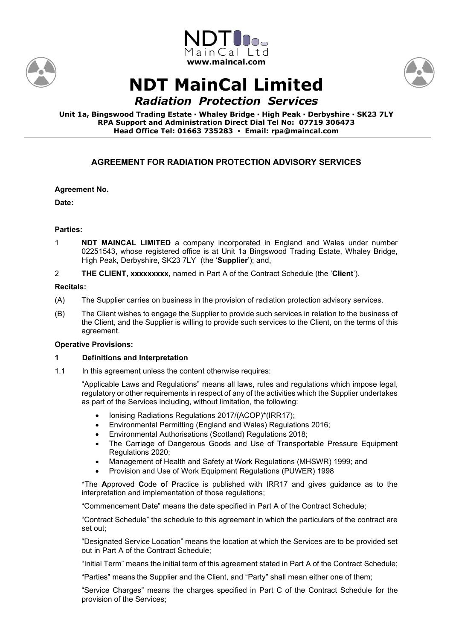





# **NDT MainCal Limited**

# *Radiation Protection Services*

#### **Unit 1a, Bingswood Trading Estate ▪ Whaley Bridge ▪ High Peak ▪ Derbyshire ▪ SK23 7LY RPA Support and Administration Direct Dial Tel No: 07719 306473 Head Office Tel: 01663 735283 ▪ Email: rpa@maincal.com**

## **AGREEMENT FOR RADIATION PROTECTION ADVISORY SERVICES**

**Agreement No.**

**Date:**

#### **Parties:**

- 1 **NDT MAINCAL LIMITED** a company incorporated in England and Wales under number 02251543, whose registered office is at Unit 1a Bingswood Trading Estate, Whaley Bridge, High Peak, Derbyshire, SK23 7LY (the '**Supplier**'); and,
- 2 **THE CLIENT, xxxxxxxxx,** named in Part A of the Contract Schedule (the '**Client**').

#### **Recitals:**

- (A) The Supplier carries on business in the provision of radiation protection advisory services.
- (B) The Client wishes to engage the Supplier to provide such services in relation to the business of the Client, and the Supplier is willing to provide such services to the Client, on the terms of this agreement.

#### **Operative Provisions:**

#### **1 Definitions and Interpretation**

1.1 In this agreement unless the content otherwise requires:

"Applicable Laws and Regulations" means all laws, rules and regulations which impose legal, regulatory or other requirements in respect of any of the activities which the Supplier undertakes as part of the Services including, without limitation, the following:

- Ionising Radiations Regulations 2017/(ACOP)\*(IRR17);
- Environmental Permitting (England and Wales) Regulations 2016;
- Environmental Authorisations (Scotland) Regulations 2018;
- The Carriage of Dangerous Goods and Use of Transportable Pressure Equipment Regulations 2020;
- Management of Health and Safety at Work Regulations (MHSWR) 1999; and
- Provision and Use of Work Equipment Regulations (PUWER) 1998

\*The **A**pproved **C**ode **o**f **P**ractice is published with IRR17 and gives guidance as to the interpretation and implementation of those regulations;

"Commencement Date" means the date specified in Part A of the Contract Schedule;

"Contract Schedule" the schedule to this agreement in which the particulars of the contract are set out;

"Designated Service Location" means the location at which the Services are to be provided set out in Part A of the Contract Schedule;

"Initial Term" means the initial term of this agreement stated in Part A of the Contract Schedule;

"Parties" means the Supplier and the Client, and "Party" shall mean either one of them;

"Service Charges" means the charges specified in Part C of the Contract Schedule for the provision of the Services;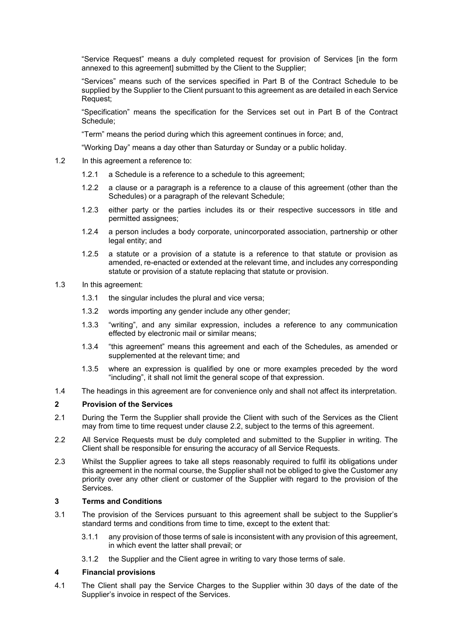"Service Request" means a duly completed request for provision of Services [in the form annexed to this agreement] submitted by the Client to the Supplier;

"Services" means such of the services specified in Part B of the Contract Schedule to be supplied by the Supplier to the Client pursuant to this agreement as are detailed in each Service Request;

"Specification" means the specification for the Services set out in Part B of the Contract Schedule;

"Term" means the period during which this agreement continues in force; and,

"Working Day" means a day other than Saturday or Sunday or a public holiday.

- 1.2 In this agreement a reference to:
	- 1.2.1 a Schedule is a reference to a schedule to this agreement;
	- 1.2.2 a clause or a paragraph is a reference to a clause of this agreement (other than the Schedules) or a paragraph of the relevant Schedule;
	- 1.2.3 either party or the parties includes its or their respective successors in title and permitted assignees;
	- 1.2.4 a person includes a body corporate, unincorporated association, partnership or other legal entity; and
	- 1.2.5 a statute or a provision of a statute is a reference to that statute or provision as amended, re-enacted or extended at the relevant time, and includes any corresponding statute or provision of a statute replacing that statute or provision.
- 1.3 In this agreement:
	- 1.3.1 the singular includes the plural and vice versa;
	- 1.3.2 words importing any gender include any other gender;
	- 1.3.3 "writing", and any similar expression, includes a reference to any communication effected by electronic mail or similar means;
	- 1.3.4 "this agreement" means this agreement and each of the Schedules, as amended or supplemented at the relevant time; and
	- 1.3.5 where an expression is qualified by one or more examples preceded by the word "including", it shall not limit the general scope of that expression.
- 1.4 The headings in this agreement are for convenience only and shall not affect its interpretation.

#### **2 Provision of the Services**

- 2.1 During the Term the Supplier shall provide the Client with such of the Services as the Client may from time to time request under clause 2.2, subject to the terms of this agreement.
- 2.2 All Service Requests must be duly completed and submitted to the Supplier in writing. The Client shall be responsible for ensuring the accuracy of all Service Requests.
- 2.3 Whilst the Supplier agrees to take all steps reasonably required to fulfil its obligations under this agreement in the normal course, the Supplier shall not be obliged to give the Customer any priority over any other client or customer of the Supplier with regard to the provision of the Services.

#### **3 Terms and Conditions**

- 3.1 The provision of the Services pursuant to this agreement shall be subject to the Supplier's standard terms and conditions from time to time, except to the extent that:
	- 3.1.1 any provision of those terms of sale is inconsistent with any provision of this agreement, in which event the latter shall prevail; or
	- 3.1.2 the Supplier and the Client agree in writing to vary those terms of sale.

#### **4 Financial provisions**

4.1 The Client shall pay the Service Charges to the Supplier within 30 days of the date of the Supplier's invoice in respect of the Services.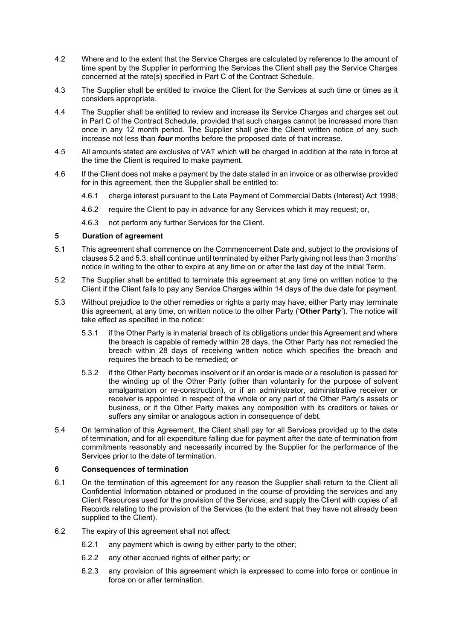- 4.2 Where and to the extent that the Service Charges are calculated by reference to the amount of time spent by the Supplier in performing the Services the Client shall pay the Service Charges concerned at the rate(s) specified in Part C of the Contract Schedule.
- 4.3 The Supplier shall be entitled to invoice the Client for the Services at such time or times as it considers appropriate.
- 4.4 The Supplier shall be entitled to review and increase its Service Charges and charges set out in Part C of the Contract Schedule, provided that such charges cannot be increased more than once in any 12 month period. The Supplier shall give the Client written notice of any such increase not less than *four* months before the proposed date of that increase.
- 4.5 All amounts stated are exclusive of VAT which will be charged in addition at the rate in force at the time the Client is required to make payment.
- 4.6 If the Client does not make a payment by the date stated in an invoice or as otherwise provided for in this agreement, then the Supplier shall be entitled to:
	- 4.6.1 charge interest pursuant to the Late Payment of Commercial Debts (Interest) Act 1998;
	- 4.6.2 require the Client to pay in advance for any Services which it may request; or,
	- 4.6.3 not perform any further Services for the Client.

#### **5 Duration of agreement**

- 5.1 This agreement shall commence on the Commencement Date and, subject to the provisions of clauses 5.2 and 5.3, shall continue until terminated by either Party giving not less than 3 months' notice in writing to the other to expire at any time on or after the last day of the Initial Term.
- 5.2 The Supplier shall be entitled to terminate this agreement at any time on written notice to the Client if the Client fails to pay any Service Charges within 14 days of the due date for payment.
- 5.3 Without prejudice to the other remedies or rights a party may have, either Party may terminate this agreement, at any time, on written notice to the other Party ('**Other Party**'). The notice will take effect as specified in the notice:
	- 5.3.1 if the Other Party is in material breach of its obligations under this Agreement and where the breach is capable of remedy within 28 days, the Other Party has not remedied the breach within 28 days of receiving written notice which specifies the breach and requires the breach to be remedied; or
	- 5.3.2 if the Other Party becomes insolvent or if an order is made or a resolution is passed for the winding up of the Other Party (other than voluntarily for the purpose of solvent amalgamation or re-construction), or if an administrator, administrative receiver or receiver is appointed in respect of the whole or any part of the Other Party's assets or business, or if the Other Party makes any composition with its creditors or takes or suffers any similar or analogous action in consequence of debt.
- 5.4 On termination of this Agreement, the Client shall pay for all Services provided up to the date of termination, and for all expenditure falling due for payment after the date of termination from commitments reasonably and necessarily incurred by the Supplier for the performance of the Services prior to the date of termination.

#### **6 Consequences of termination**

- 6.1 On the termination of this agreement for any reason the Supplier shall return to the Client all Confidential Information obtained or produced in the course of providing the services and any Client Resources used for the provision of the Services, and supply the Client with copies of all Records relating to the provision of the Services (to the extent that they have not already been supplied to the Client).
- 6.2 The expiry of this agreement shall not affect:
	- 6.2.1 any payment which is owing by either party to the other;
	- 6.2.2 any other accrued rights of either party; or
	- 6.2.3 any provision of this agreement which is expressed to come into force or continue in force on or after termination.